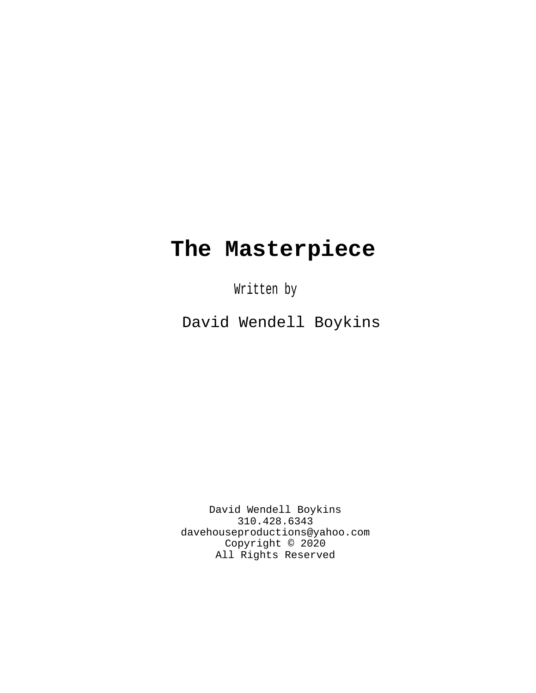# **The Masterpiece**

Written by

David Wendell Boykins

David Wendell Boykins 310.428.6343 davehouseproductions@yahoo.com Copyright © 2020 All Rights Reserved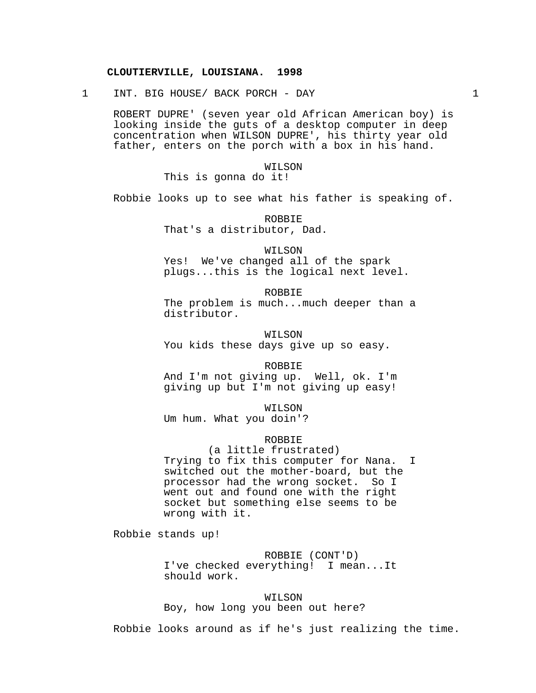# **CLOUTIERVILLE, LOUISIANA. 1998**

1 INT. BIG HOUSE/ BACK PORCH - DAY 1

ROBERT DUPRE' (seven year old African American boy) is looking inside the guts of a desktop computer in deep concentration when WILSON DUPRE', his thirty year old father, enters on the porch with a box in his hand.

> WILSON This is gonna do it!

Robbie looks up to see what his father is speaking of.

ROBBIE That's a distributor, Dad.

WILSON Yes! We've changed all of the spark plugs...this is the logical next level.

ROBBIE The problem is much...much deeper than a distributor.

WILSON You kids these days give up so easy.

ROBBIE And I'm not giving up. Well, ok. I'm giving up but I'm not giving up easy!

WILSON Um hum. What you doin'?

ROBBIE

(a little frustrated) Trying to fix this computer for Nana. I switched out the mother-board, but the processor had the wrong socket. So I went out and found one with the right socket but something else seems to be wrong with it.

Robbie stands up!

ROBBIE (CONT'D)

I've checked everything! I mean...It should work.

WILSON

Boy, how long you been out here?

Robbie looks around as if he's just realizing the time.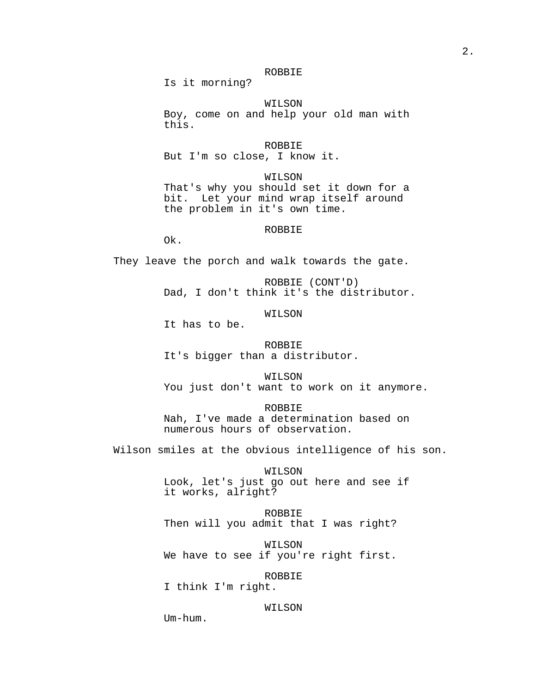# ROBBIE

Is it morning?

WILSON Boy, come on and help your old man with this.

ROBBIE But I'm so close, I know it.

WILSON That's why you should set it down for a bit. Let your mind wrap itself around the problem in it's own time.

ROBBIE

Ok.

They leave the porch and walk towards the gate.

ROBBIE (CONT'D) Dad, I don't think it's the distributor.

WILSON

It has to be.

ROBBIE It's bigger than a distributor.

WILSON You just don't want to work on it anymore.

ROBBIE Nah, I've made a determination based on numerous hours of observation.

Wilson smiles at the obvious intelligence of his son.

WILSON Look, let's just go out here and see if it works, alright?

ROBBIE Then will you admit that I was right?

WILSON We have to see if you're right first.

ROBBIE I think I'm right.

# WILSON

Um-hum.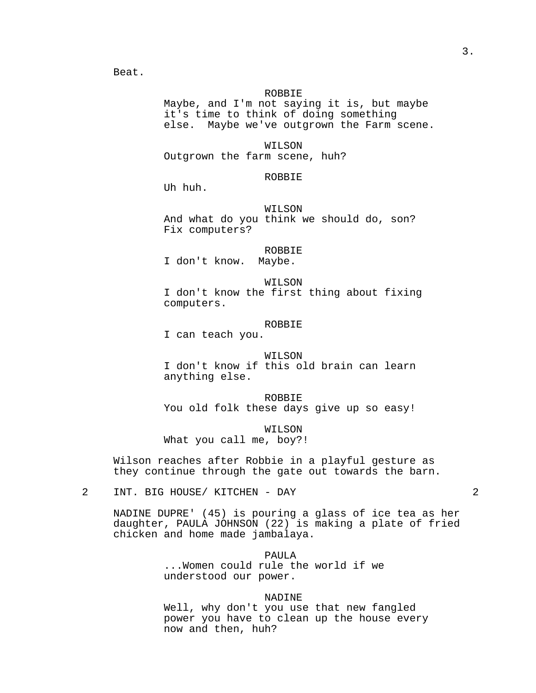Beat.

#### ROBBIE

Maybe, and I'm not saying it is, but maybe it's time to think of doing something else. Maybe we've outgrown the Farm scene.

WILSON Outgrown the farm scene, huh?

#### ROBBIE

Uh huh.

## WILSON

And what do you think we should do, son? Fix computers?

## ROBBIE

I don't know. Maybe.

WILSON

I don't know the first thing about fixing computers.

# ROBBIE

I can teach you.

#### WILSON

I don't know if this old brain can learn anything else.

ROBBIE You old folk these days give up so easy!

WILSON What you call me, boy?!

Wilson reaches after Robbie in a playful gesture as they continue through the gate out towards the barn.

2 INT. BIG HOUSE/ KITCHEN - DAY 2

NADINE DUPRE' (45) is pouring a glass of ice tea as her daughter, PAULA JOHNSON (22) is making a plate of fried chicken and home made jambalaya.

PAULA<sub>1</sub>

...Women could rule the world if we understood our power.

## NADINE

Well, why don't you use that new fangled power you have to clean up the house every now and then, huh?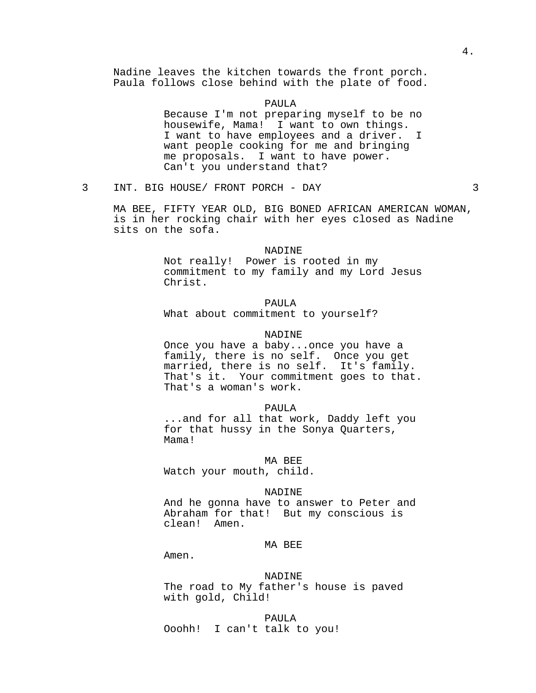Nadine leaves the kitchen towards the front porch. Paula follows close behind with the plate of food.

#### PAULA

Because I'm not preparing myself to be no housewife, Mama! I want to own things. I want to have employees and a driver. I want people cooking for me and bringing me proposals. I want to have power. Can't you understand that?

3 INT. BIG HOUSE/ FRONT PORCH - DAY 3

MA BEE, FIFTY YEAR OLD, BIG BONED AFRICAN AMERICAN WOMAN, is in her rocking chair with her eyes closed as Nadine sits on the sofa.

## NADINE

Not really! Power is rooted in my commitment to my family and my Lord Jesus Christ.

# PAULA

What about commitment to yourself?

#### NADINE

Once you have a baby...once you have a family, there is no self. Once you get married, there is no self. It's family. That's it. Your commitment goes to that. That's a woman's work.

#### PAULA

...and for all that work, Daddy left you for that hussy in the Sonya Quarters, Mama!

#### MA BEE

Watch your mouth, child.

#### NADINE

And he gonna have to answer to Peter and Abraham for that! But my conscious is clean! Amen.

## MA BEE

Amen.

#### NADINE

The road to My father's house is paved with gold, Child!

PAULA Ooohh! I can't talk to you!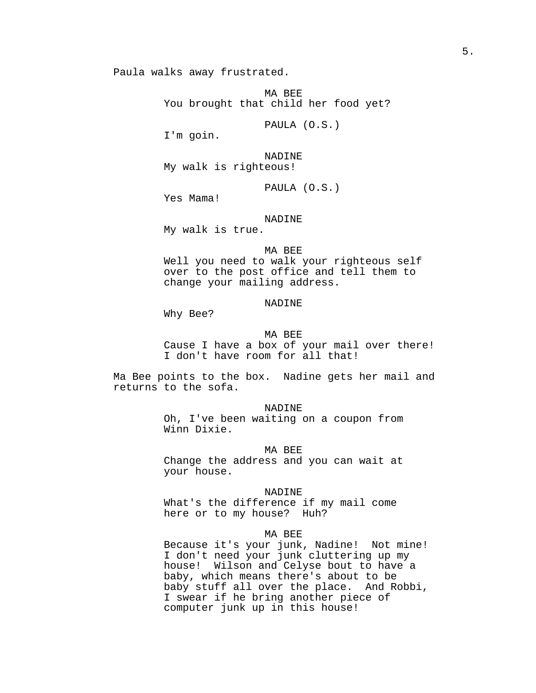Paula walks away frustrated.

MA BEE You brought that child her food yet?

PAULA (O.S.)

I'm goin.

NADINE My walk is righteous!

PAULA (O.S.)

Yes Mama!

## NADINE

My walk is true.

## MA BEE

Well you need to walk your righteous self over to the post office and tell them to change your mailing address.

# NADINE

Why Bee?

## MA BEE

Cause I have a box of your mail over there! I don't have room for all that!

Ma Bee points to the box. Nadine gets her mail and returns to the sofa.

#### NADINE

Oh, I've been waiting on a coupon from Winn Dixie.

#### MA BEE

Change the address and you can wait at your house.

#### NADINE

What's the difference if my mail come here or to my house? Huh?

## MA BEE

Because it's your junk, Nadine! Not mine! I don't need your junk cluttering up my house! Wilson and Celyse bout to have a baby, which means there's about to be baby stuff all over the place. And Robbi, I swear if he bring another piece of computer junk up in this house!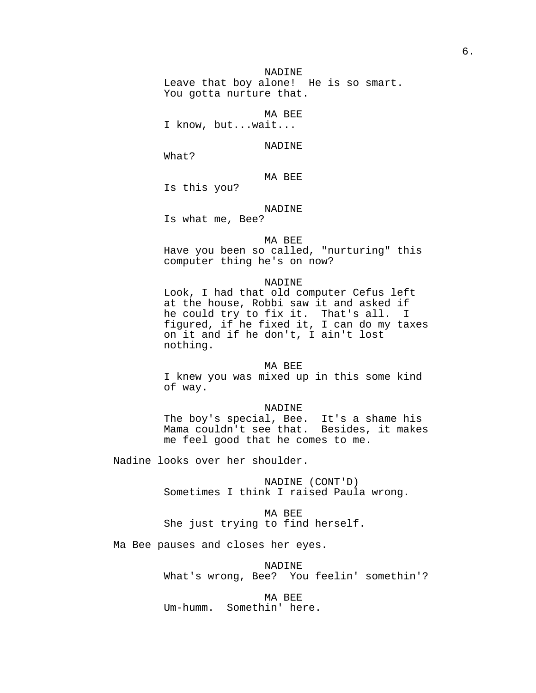NADINE Leave that boy alone! He is so smart. You gotta nurture that.

MA BEE

I know, but...wait...

NADINE

What?

MA BEE

Is this you?

NADINE

Is what me, Bee?

## MA BEE

Have you been so called, "nurturing" this computer thing he's on now?

#### NADINE

Look, I had that old computer Cefus left at the house, Robbi saw it and asked if he could try to fix it. That's all. I figured, if he fixed it, I can do my taxes on it and if he don't, I ain't lost nothing.

#### MA BEE

I knew you was mixed up in this some kind of way.

## NADINE

The boy's special, Bee. It's a shame his Mama couldn't see that. Besides, it makes me feel good that he comes to me.

Nadine looks over her shoulder.

NADINE (CONT'D) Sometimes I think I raised Paula wrong.

# MA BEE She just trying to find herself.

Ma Bee pauses and closes her eyes.

NADINE What's wrong, Bee? You feelin' somethin'?

MA BEE

Um-humm. Somethin' here.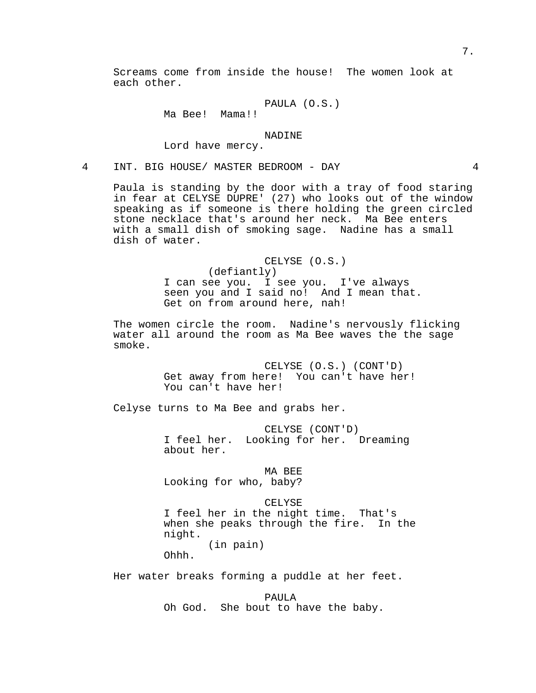Screams come from inside the house! The women look at each other.

```
PAULA (O.S.)
```
# Ma Bee! Mama!!

## NADINE

Lord have mercy.

4 INT. BIG HOUSE/ MASTER BEDROOM - DAY 4

Paula is standing by the door with a tray of food staring in fear at CELYSE DUPRE' (27) who looks out of the window speaking as if someone is there holding the green circled stone necklace that's around her neck. Ma Bee enters with a small dish of smoking sage. Nadine has a small dish of water.

> CELYSE (O.S.) (defiantly) I can see you. I see you. I've always seen you and I said no! And I mean that. Get on from around here, nah!

The women circle the room. Nadine's nervously flicking water all around the room as Ma Bee waves the the sage smoke.

> CELYSE (O.S.) (CONT'D) Get away from here! You can't have her! You can't have her!

Celyse turns to Ma Bee and grabs her.

CELYSE (CONT'D) I feel her. Looking for her. Dreaming about her.

MA BEE

Looking for who, baby?

## CELYSE

I feel her in the night time. That's when she peaks through the fire. In the night. (in pain)

Ohhh.

Her water breaks forming a puddle at her feet.

PAULA Oh God. She bout to have the baby.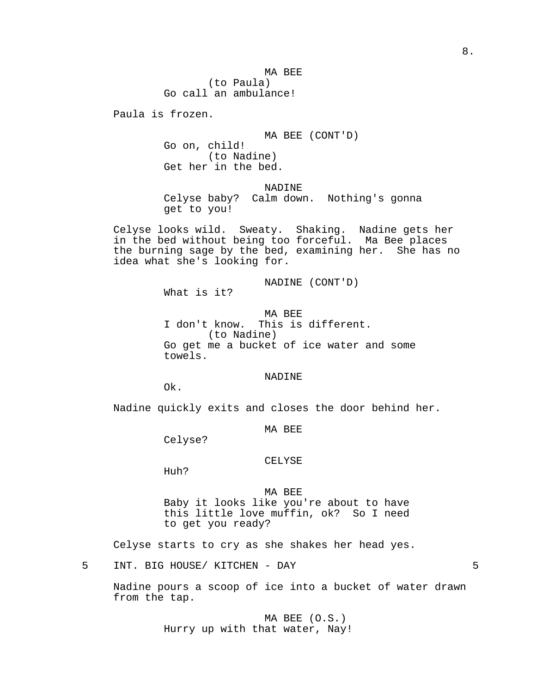MA BEE (to Paula) Go call an ambulance!

Paula is frozen.

MA BEE (CONT'D)

Go on, child! (to Nadine) Get her in the bed.

NADINE

Celyse baby? Calm down. Nothing's gonna get to you!

Celyse looks wild. Sweaty. Shaking. Nadine gets her in the bed without being too forceful. Ma Bee places the burning sage by the bed, examining her. She has no idea what she's looking for.

NADINE (CONT'D)

What is it?

MA BEE I don't know. This is different. (to Nadine) Go get me a bucket of ice water and some towels.

NADINE

Ok.

Nadine quickly exits and closes the door behind her.

MA BEE

Celyse?

## CELYSE

Huh?

MA BEE Baby it looks like you're about to have this little love muffin, ok? So I need to get you ready?

Celyse starts to cry as she shakes her head yes.

5 INT. BIG HOUSE/ KITCHEN - DAY 5

Nadine pours a scoop of ice into a bucket of water drawn from the tap.

> MA BEE (O.S.) Hurry up with that water, Nay!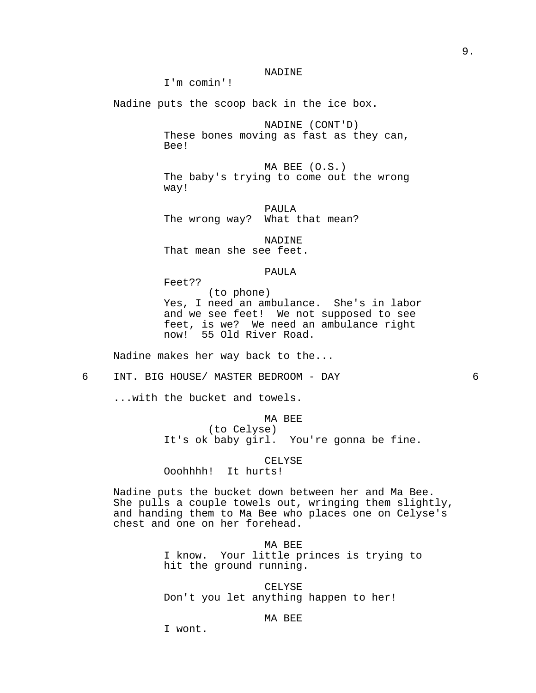# NADINE

I'm comin'!

Nadine puts the scoop back in the ice box.

NADINE (CONT'D) These bones moving as fast as they can, Bee!

MA BEE (O.S.) The baby's trying to come out the wrong way!

PAULA The wrong way? What that mean?

NADINE That mean she see feet.

#### PAULA

Feet?? (to phone) Yes, I need an ambulance. She's in labor and we see feet! We not supposed to see feet, is we? We need an ambulance right now! 55 Old River Road.

Nadine makes her way back to the...

6 INT. BIG HOUSE/ MASTER BEDROOM - DAY 6

...with the bucket and towels.

# MA BEE (to Celyse) It's ok baby girl. You're gonna be fine.

CELYSE Ooohhhh! It hurts!

Nadine puts the bucket down between her and Ma Bee. She pulls a couple towels out, wringing them slightly, and handing them to Ma Bee who places one on Celyse's chest and one on her forehead.

> MA BEE I know. Your little princes is trying to hit the ground running.

CELYSE Don't you let anything happen to her!

## MA BEE

I wont.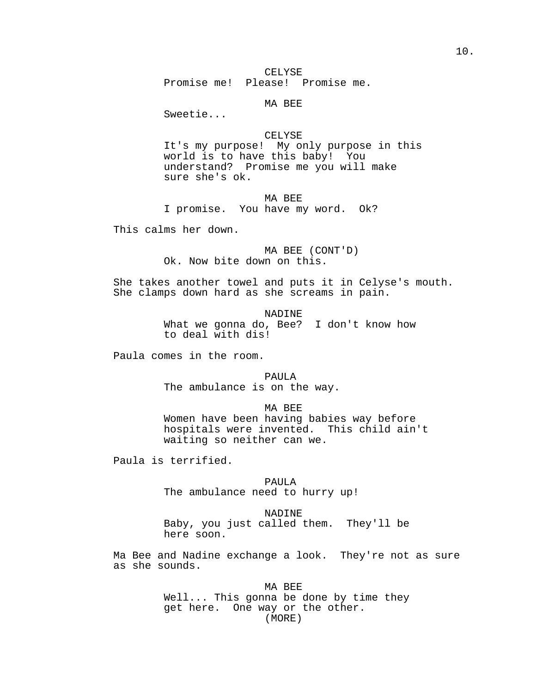CELYSE

Promise me! Please! Promise me.

MA BEE

Sweetie...

# CELYSE

It's my purpose! My only purpose in this world is to have this baby! You understand? Promise me you will make sure she's ok.

MA BEE

I promise. You have my word. Ok?

This calms her down.

MA BEE (CONT'D) Ok. Now bite down on this.

She takes another towel and puts it in Celyse's mouth. She clamps down hard as she screams in pain.

NADINE

What we gonna do, Bee? I don't know how to deal with dis!

Paula comes in the room.

PAULA The ambulance is on the way.

MA BEE

Women have been having babies way before hospitals were invented. This child ain't waiting so neither can we.

Paula is terrified.

PAULA The ambulance need to hurry up!

NADINE

Baby, you just called them. They'll be here soon.

Ma Bee and Nadine exchange a look. They're not as sure as she sounds.

> MA BEE Well... This gonna be done by time they get here. One way or the other. (MORE)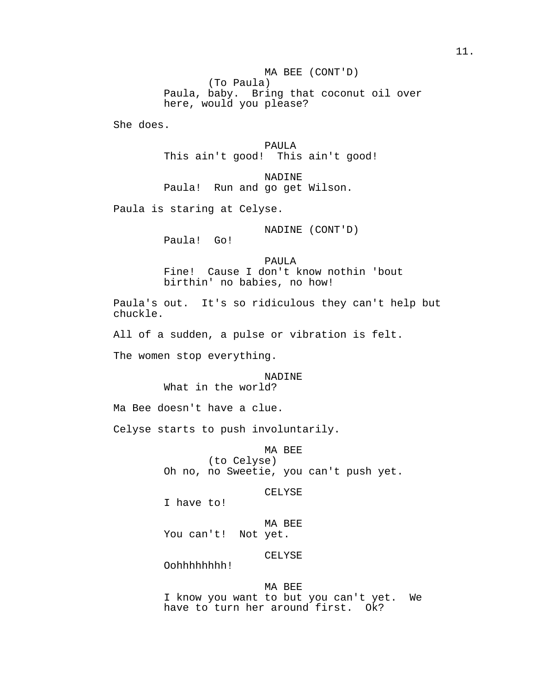MA BEE (CONT'D) (To Paula) Paula, baby. Bring that coconut oil over here, would you please?

She does.

PAULA This ain't good! This ain't good!

NADINE Paula! Run and go get Wilson.

Paula is staring at Celyse.

NADINE (CONT'D)

Paula! Go!

PAULA Fine! Cause I don't know nothin 'bout birthin' no babies, no how!

Paula's out. It's so ridiculous they can't help but chuckle.

All of a sudden, a pulse or vibration is felt.

The women stop everything.

# NADINE What in the world?

Ma Bee doesn't have a clue.

Celyse starts to push involuntarily.

MA BEE (to Celyse) Oh no, no Sweetie, you can't push yet.

CELYSE

I have to!

MA BEE You can't! Not yet.

CELYSE

Oohhhhhhhh!

# MA BEE

I know you want to but you can't yet. We have to turn her around first. Ok?